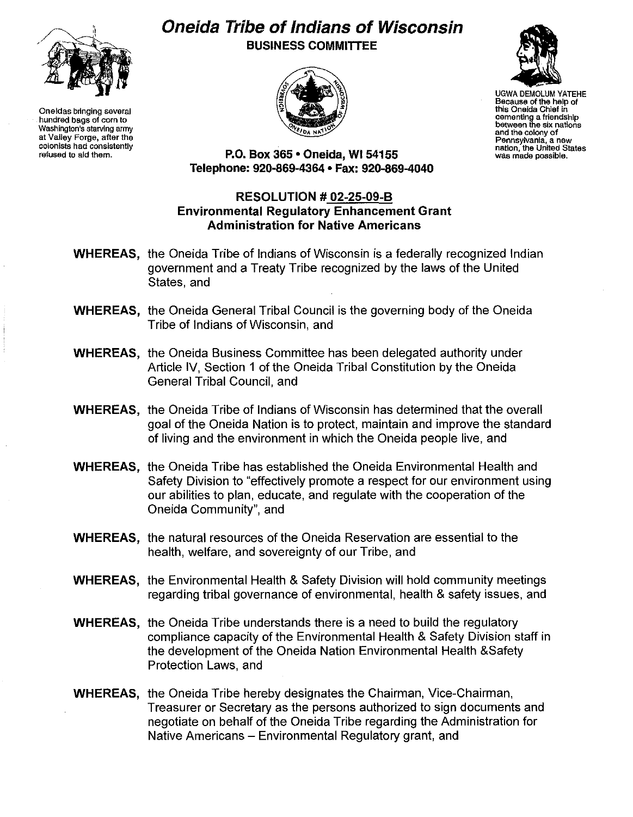

**Oneidas bringing several hundred bags of corn to Washington's starving army at Valley Forge, after the colonists had consistently refused to aid them.**

## **Oneida Tribe of Indians of Wisconsin BUSINESS COMMITTEE**





UGWA DEMOLUM YATEHE **Because of the help of this Oneida Chief in oementing a friendship between the six nations and the colony of Pennsylvania, a new nation, the United States was made possible.**

**P.O. Box 365· Oneida,** WI 54155 **Telephone: 920-869-4364 • Fax: 920-869-4040**

## **RESOLUTION # 02-25-09-B Environmental Regulatory Enhancement Grant Administration for Native Americans**

- **WHEREAS,** the Oneida Tribe of Indians of Wisconsin is a federally recognized Indian government and a Treaty Tribe recognized by the laws of the United States, and
- **WHEREAS,** the Oneida General Tribal Council is the governing body of the Oneida Tribe of Indians of Wisconsin, and
- **WHEREAS,** the Oneida Business Committee has been delegated authority under Article IV, Section 1 of the Oneida Tribal Constitution by the Oneida General Tribal Council, and
- **WHEREAS,** the Oneida Tribe of Indians of Wisconsin has determined that the overall goal of the Oneida Nation is to protect, maintain and improve the standard of living and the environment in which the Oneida people live, and
- **WHEREAS,** the Oneida Tribe has established the Oneida Environmental Health and Safety Division to "effectively promote a respect for our environment using our abilities to plan, educate, and regulate with the cooperation of the Oneida Community", and
- **WHEREAS,** the natural resources of the Oneida Reservation are essential to the health, welfare, and sovereignty of our Tribe, and
- **WHEREAS,** the Environmental Health & Safety Division will hold community meetings regarding tribal governance of environmental, health & safety issues, and
- **WHEREAS,** the Oneida Tribe understands there is a need to build the regulatory compliance capacity of the Environmental Health & Safety Division staff in the development of the Oneida Nation Environmental Health &Safety Protection Laws, and
- **WHEREAS,** the Oneida Tribe hereby designates the Chairman, Vice-Chairman, Treasurer or Secretary as the persons authorized to sign documents and negotiate on behalf of the Oneida Tribe regarding the Administration for Native Americans – Environmental Regulatory grant, and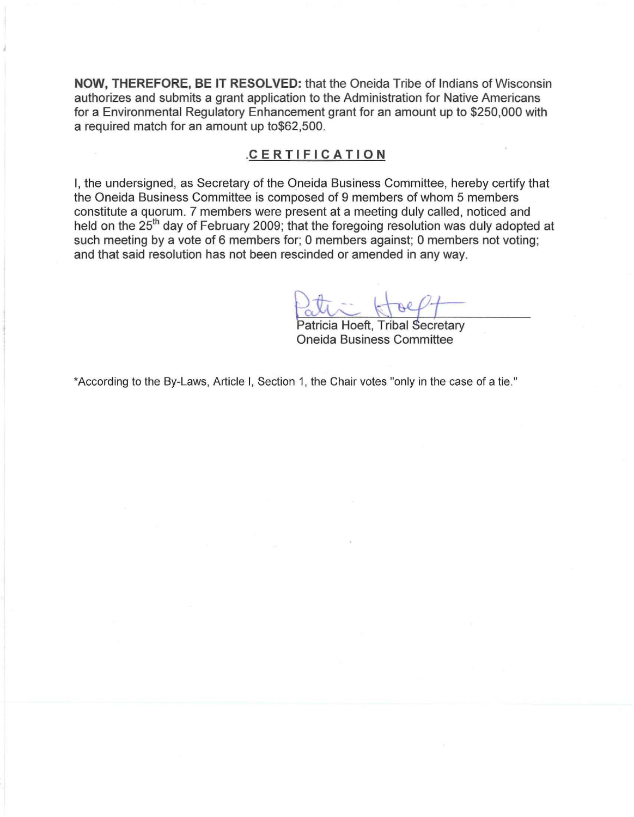**NOW, THEREFORE, BE IT RESOLVED:** that the Oneida Tribe of Indians of Wisconsin authorizes and submits a grant application to the Administration for Native Americans for a Environmental Regulatory Enhancement grant for an amount up to \$250,000 with a required match for an amount up to\$62,500.

## .c E R T I F I CAT **ION**

I, the undersigned, as Secretary of the Oneida Business Committee, hereby certify that the Oneida Business Committee is composed of 9 members of whom 5 members constitute a quorum. 7 members were present at a meeting duly called, noticed and held on the 25<sup>th</sup> day of February 2009; that the foregoing resolution was duly adopted at such meeting by a vote of 6 members for; 0 members against; 0 members not voting; and that said resolution has not been rescinded or amended in any way.

Patricia Hoeft, Tribal Secretary Oneida Business Committee

'According to the By-Laws, Article I, Section 1, the Chair votes "only in the case of a tie."